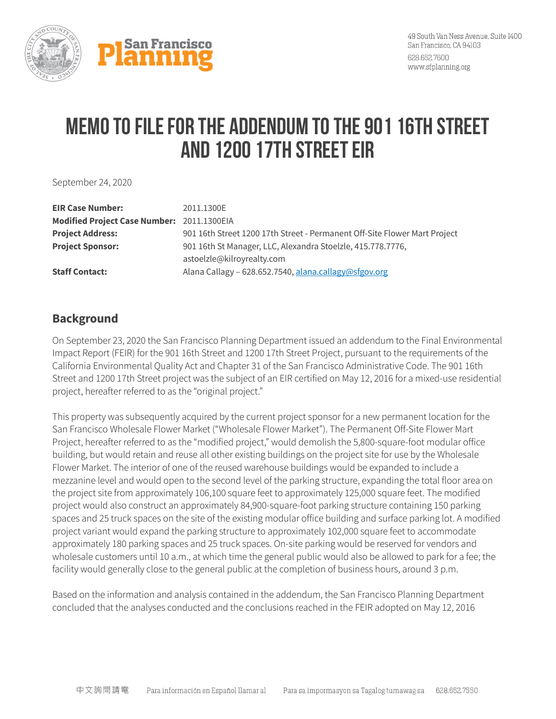

## **MEMO TO file for the Addendum to the 901 16th Street and 1200 17th Street EIR**

September 24, 2020

| <b>EIR Case Number:</b>                    | 2011.1300E                                                                |
|--------------------------------------------|---------------------------------------------------------------------------|
| Modified Project Case Number: 2011.1300EIA |                                                                           |
| <b>Project Address:</b>                    | 901 16th Street 1200 17th Street - Permanent Off-Site Flower Mart Project |
| <b>Project Sponsor:</b>                    | 901 16th St Manager, LLC, Alexandra Stoelzle, 415.778.7776,               |
|                                            | astoelzle@kilroyrealty.com                                                |
| <b>Staff Contact:</b>                      | Alana Callagy - 628.652.7540, alana.callagy@sfgov.org                     |

## **Background**

On September 23, 2020 the San Francisco Planning Department issued an addendum to the Final Environmental Impact Report (FEIR) for the 901 16th Street and 1200 17th Street Project, pursuant to the requirements of the California Environmental Quality Act and Chapter 31 of the San Francisco Administrative Code. The 901 16th Street and 1200 17th Street project was the subject of an EIR certified on May 12, 2016 for a mixed-use residential project, hereafter referred to as the "original project."

This property was subsequently acquired by the current project sponsor for a new permanent location for the San Francisco Wholesale Flower Market ("Wholesale Flower Market"). The Permanent Off-Site Flower Mart Project, hereafter referred to as the "modified project," would demolish the 5,800-square-foot modular office building, but would retain and reuse all other existing buildings on the project site for use by the Wholesale Flower Market. The interior of one of the reused warehouse buildings would be expanded to include a mezzanine level and would open to the second level of the parking structure, expanding the total floor area on the project site from approximately 106,100 square feet to approximately 125,000 square feet. The modified project would also construct an approximately 84,900-square-foot parking structure containing 150 parking spaces and 25 truck spaces on the site of the existing modular office building and surface parking lot. A modified project variant would expand the parking structure to approximately 102,000 square feet to accommodate approximately 180 parking spaces and 25 truck spaces. On-site parking would be reserved for vendors and wholesale customers until 10 a.m., at which time the general public would also be allowed to park for a fee; the facility would generally close to the general public at the completion of business hours, around 3 p.m.

Based on the information and analysis contained in the addendum, the San Francisco Planning Department concluded that the analyses conducted and the conclusions reached in the FEIR adopted on May 12, 2016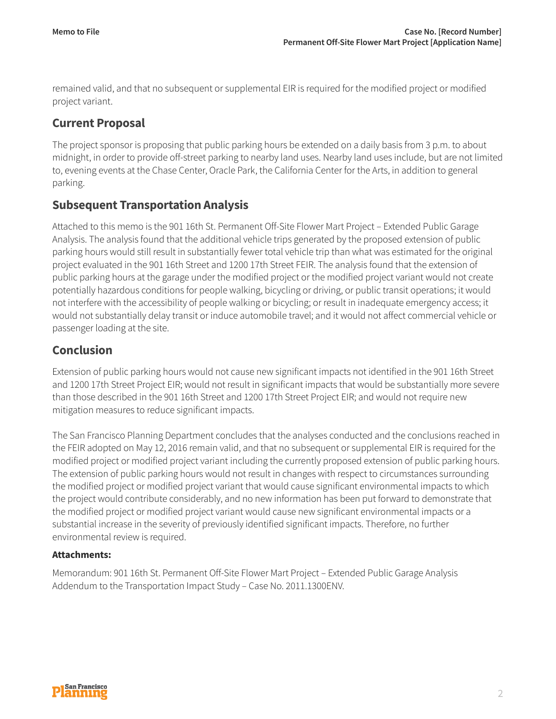remained valid, and that no subsequent or supplemental EIR is required for the modified project or modified project variant.

## **Current Proposal**

The project sponsor is proposing that public parking hours be extended on a daily basis from 3 p.m. to about midnight, in order to provide off-street parking to nearby land uses. Nearby land uses include, but are not limited to, evening events at the Chase Center, Oracle Park, the California Center for the Arts, in addition to general parking.

## **Subsequent Transportation Analysis**

Attached to this memo is the 901 16th St. Permanent Off-Site Flower Mart Project – Extended Public Garage Analysis. The analysis found that the additional vehicle trips generated by the proposed extension of public parking hours would still result in substantially fewer total vehicle trip than what was estimated for the original project evaluated in the 901 16th Street and 1200 17th Street FEIR. The analysis found that the extension of public parking hours at the garage under the modified project or the modified project variant would not create potentially hazardous conditions for people walking, bicycling or driving, or public transit operations; it would not interfere with the accessibility of people walking or bicycling; or result in inadequate emergency access; it would not substantially delay transit or induce automobile travel; and it would not affect commercial vehicle or passenger loading at the site.

## **Conclusion**

Extension of public parking hours would not cause new significant impacts not identified in the 901 16th Street and 1200 17th Street Project EIR; would not result in significant impacts that would be substantially more severe than those described in the 901 16th Street and 1200 17th Street Project EIR; and would not require new mitigation measures to reduce significant impacts.

The San Francisco Planning Department concludes that the analyses conducted and the conclusions reached in the FEIR adopted on May 12, 2016 remain valid, and that no subsequent or supplemental EIR is required for the modified project or modified project variant including the currently proposed extension of public parking hours. The extension of public parking hours would not result in changes with respect to circumstances surrounding the modified project or modified project variant that would cause significant environmental impacts to which the project would contribute considerably, and no new information has been put forward to demonstrate that the modified project or modified project variant would cause new significant environmental impacts or a substantial increase in the severity of previously identified significant impacts. Therefore, no further environmental review is required.

#### **Attachments:**

Memorandum: 901 16th St. Permanent Off-Site Flower Mart Project – Extended Public Garage Analysis Addendum to the Transportation Impact Study – Case No. 2011.1300ENV.

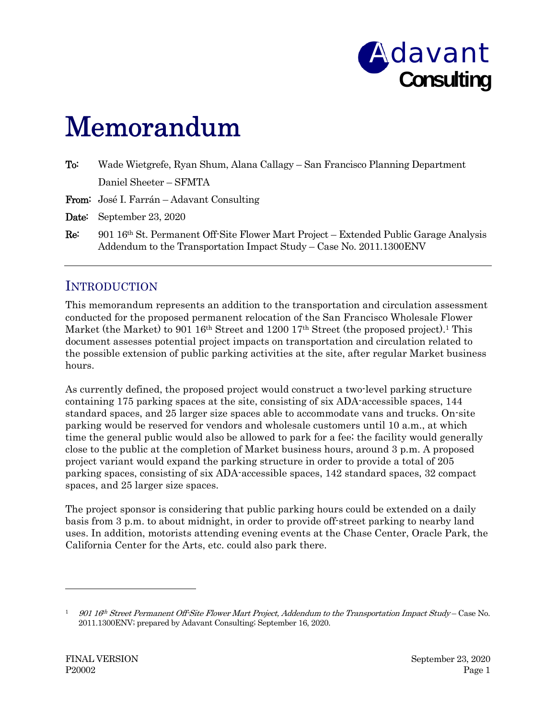

# Memorandum

| $\mathrm{To:}$ | Wade Wietgrefe, Ryan Shum, Alana Callagy – San Francisco Planning Department          |
|----------------|---------------------------------------------------------------------------------------|
|                | Daniel Sheeter – SFMTA                                                                |
|                | <b>From:</b> José I. Farrán – Adavant Consulting                                      |
|                | <b>Date:</b> September 23, 2020                                                       |
| Re:            | 901 16th St. Permanent Off-Site Flower Mart Project – Extended Public Garage Analysis |

Addendum to the Transportation Impact Study – Case No. 2011.1300ENV

## INTRODUCTION

This memorandum represents an addition to the transportation and circulation assessment conducted for the proposed permanent relocation of the San Francisco Wholesale Flower Market (the Market) to 901 16<sup>th</sup> Street and 1200 17<sup>th</sup> Street (the proposed project).<sup>1</sup> This document assesses potential project impacts on transportation and circulation related to the possible extension of public parking activities at the site, after regular Market business hours.

As currently defined, the proposed project would construct a two-level parking structure containing 175 parking spaces at the site, consisting of six ADA-accessible spaces, 144 standard spaces, and 25 larger size spaces able to accommodate vans and trucks. On-site parking would be reserved for vendors and wholesale customers until 10 a.m., at which time the general public would also be allowed to park for a fee; the facility would generally close to the public at the completion of Market business hours, around 3 p.m. A proposed project variant would expand the parking structure in order to provide a total of 205 parking spaces, consisting of six ADA-accessible spaces, 142 standard spaces, 32 compact spaces, and 25 larger size spaces.

The project sponsor is considering that public parking hours could be extended on a daily basis from 3 p.m. to about midnight, in order to provide off-street parking to nearby land uses. In addition, motorists attending evening events at the Chase Center, Oracle Park, the California Center for the Arts, etc. could also park there.

 $90116<sup>th</sup> Street Permann to ff-Site Flower Mart Project, Addendum to the Transportation Impact Study - Case No.$ 2011.1300ENV; prepared by Adavant Consulting; September 16, 2020.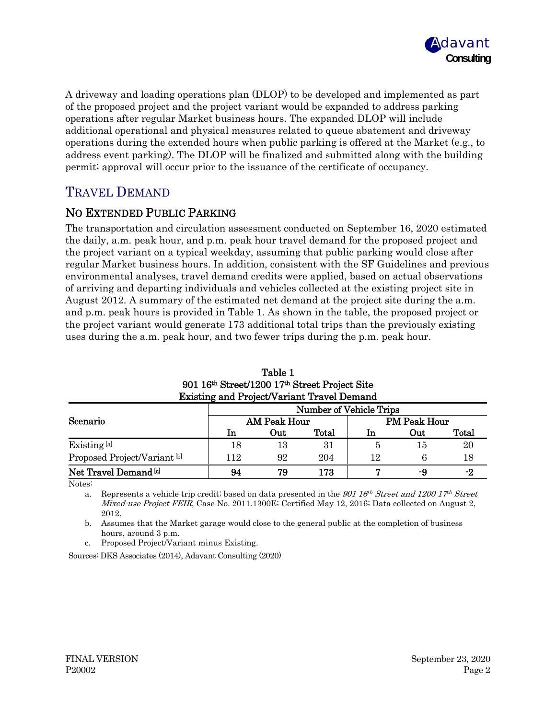

A driveway and loading operations plan (DLOP) to be developed and implemented as part of the proposed project and the project variant would be expanded to address parking operations after regular Market business hours. The expanded DLOP will include additional operational and physical measures related to queue abatement and driveway operations during the extended hours when public parking is offered at the Market (e.g., to address event parking). The DLOP will be finalized and submitted along with the building permit; approval will occur prior to the issuance of the certificate of occupancy.

## TRAVEL DEMAND

#### NO EXTENDED PUBLIC PARKING

The transportation and circulation assessment conducted on September 16, 2020 estimated the daily, a.m. peak hour, and p.m. peak hour travel demand for the proposed project and the project variant on a typical weekday, assuming that public parking would close after regular Market business hours. In addition, consistent with the SF Guidelines and previous environmental analyses, travel demand credits were applied, based on actual observations of arriving and departing individuals and vehicles collected at the existing project site in August 2012. A summary of the estimated net demand at the project site during the a.m. and p.m. peak hours is provided in Table 1. As shown in the table, the proposed project or the project variant would generate 173 additional total trips than the previously existing uses during the a.m. peak hour, and two fewer trips during the p.m. peak hour.

| <b>EXISUIIR and I roject variant Travel Demand</b> |                                |                     |       |                     |     |       |  |  |
|----------------------------------------------------|--------------------------------|---------------------|-------|---------------------|-----|-------|--|--|
|                                                    | <b>Number of Vehicle Trips</b> |                     |       |                     |     |       |  |  |
| Scenario                                           |                                | <b>AM Peak Hour</b> |       | <b>PM Peak Hour</b> |     |       |  |  |
|                                                    | 1n                             | Out                 | Total | ln                  | Out | Total |  |  |
| Existing [a]                                       | 18                             | 13                  | 31    |                     | 15  | 20    |  |  |
| Proposed Project/Variant <sup>[b]</sup>            | 112                            | 92                  | 204   | 12                  |     | 18    |  |  |
| Net Travel Demand <sup>[c]</sup>                   | 94                             | 79                  | 173   |                     | -9  | -2    |  |  |

| Table 1                                           |
|---------------------------------------------------|
| 901 16th Street/1200 17th Street Project Site     |
| <b>Existing and Project/Variant Travel Demand</b> |

Notes:

a. Represents a vehicle trip credit; based on data presented in the  $901$  16<sup>th</sup> Street and 1200 17<sup>th</sup> Street Mixed-use Project FEIR, Case No. 2011.1300E; Certified May 12, 2016; Data collected on August 2, 2012.

b. Assumes that the Market garage would close to the general public at the completion of business hours, around 3 p.m.

c. Proposed Project/Variant minus Existing.

Sources: DKS Associates (2014), Adavant Consulting (2020)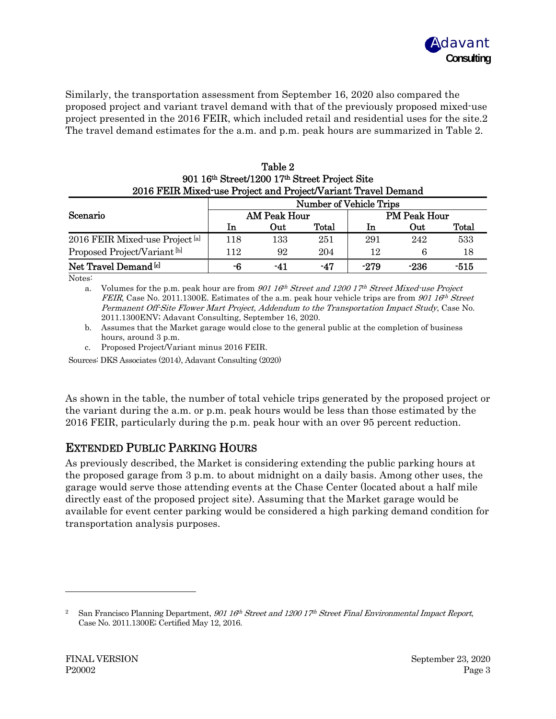

Similarly, the transportation assessment from September 16, 2020 also compared the proposed project and variant travel demand with that of the previously proposed mixed-use project presented in the 2016 FEIR, which included retail and residential uses for the site.2 The travel demand estimates for the a.m. and p.m. peak hours are summarized in Table 2.

|                                                               |                                |                     | 901 16th Street/1200 17th Street Project Site |                     |        |       |  |
|---------------------------------------------------------------|--------------------------------|---------------------|-----------------------------------------------|---------------------|--------|-------|--|
| 2016 FEIR Mixed-use Project and Project/Variant Travel Demand |                                |                     |                                               |                     |        |       |  |
|                                                               | <b>Number of Vehicle Trips</b> |                     |                                               |                     |        |       |  |
| Scenario                                                      |                                | <b>AM Peak Hour</b> |                                               | <b>PM Peak Hour</b> |        |       |  |
|                                                               | In                             | Out                 | Total                                         | <b>In</b>           | Out    | Total |  |
| 2016 FEIR Mixed-use Project [a]                               | 118                            | 133                 | 251                                           | 291                 | 242    | 533   |  |
| Proposed Project/Variant <sup>[b]</sup>                       | 112                            | 92                  | 204                                           | 12                  | 6      | 18    |  |
| Net Travel Demand <sup>[c]</sup>                              | -6                             | -41                 | $-47$                                         | $-279$              | $-236$ | -515  |  |

Table 2

Notes:

a. Volumes for the p.m. peak hour are from  $901 \, 16^{th}$  Street and 1200 17<sup>th</sup> Street Mixed-use Project FEIR, Case No. 2011.1300E. Estimates of the a.m. peak hour vehicle trips are from  $90116<sup>th</sup> Street$ Permanent Off-Site Flower Mart Project, Addendum to the Transportation Impact Study, Case No. 2011.1300ENV; Adavant Consulting, September 16, 2020.

b. Assumes that the Market garage would close to the general public at the completion of business hours, around 3 p.m.

c. Proposed Project/Variant minus 2016 FEIR.

Sources: DKS Associates (2014), Adavant Consulting (2020)

As shown in the table, the number of total vehicle trips generated by the proposed project or the variant during the a.m. or p.m. peak hours would be less than those estimated by the 2016 FEIR, particularly during the p.m. peak hour with an over 95 percent reduction.

#### EXTENDED PUBLIC PARKING HOURS

As previously described, the Market is considering extending the public parking hours at the proposed garage from 3 p.m. to about midnight on a daily basis. Among other uses, the garage would serve those attending events at the Chase Center (located about a half mile directly east of the proposed project site). Assuming that the Market garage would be available for event center parking would be considered a high parking demand condition for transportation analysis purposes.

<sup>&</sup>lt;sup>2</sup> San Francisco Planning Department, 901 16<sup>th</sup> Street and 1200 17<sup>th</sup> Street Final Environmental Impact Report, Case No. 2011.1300E; Certified May 12, 2016.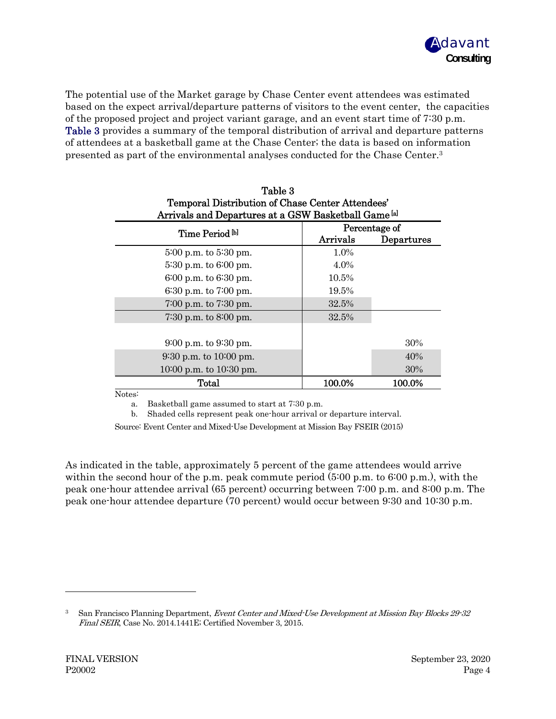

The potential use of the Market garage by Chase Center event attendees was estimated based on the expect arrival/departure patterns of visitors to the event center, the capacities of the proposed project and project variant garage, and an event start time of 7:30 p.m. Table 3 provides a summary of the temporal distribution of arrival and departure patterns of attendees at a basketball game at the Chase Center; the data is based on information presented as part of the environmental analyses conducted for the Chase Center.3

 $T<sub>1</sub>$   $\sim$ 

| таріе з<br>Temporal Distribution of Chase Center Attendees'<br>Arrivals and Departures at a GSW Basketball Game [a] |               |            |  |  |
|---------------------------------------------------------------------------------------------------------------------|---------------|------------|--|--|
| Time Period bl                                                                                                      | Percentage of |            |  |  |
|                                                                                                                     | Arrivals      | Departures |  |  |
| $5:00$ p.m. to $5:30$ pm.                                                                                           | 1.0%          |            |  |  |
| $5:30$ p.m. to $6:00$ pm.                                                                                           | 4.0%          |            |  |  |
| $6:00$ p.m. to $6:30$ pm.                                                                                           | 10.5%         |            |  |  |
| $6:30$ p.m. to $7:00$ pm.                                                                                           | 19.5%         |            |  |  |
| $7:00$ p.m. to $7:30$ pm.                                                                                           | 32.5%         |            |  |  |
| $7:30$ p.m. to $8:00$ pm.                                                                                           | 32.5%         |            |  |  |
|                                                                                                                     |               |            |  |  |
| $9:00$ p.m. to $9:30$ pm.                                                                                           |               | 30%        |  |  |
| $9:30$ p.m. to $10:00$ pm.                                                                                          |               | 40%        |  |  |
| $10:00$ p.m. to $10:30$ pm.                                                                                         |               | 30%        |  |  |
| Total                                                                                                               | 100.0%        | 100.0%     |  |  |

Notes:

a. Basketball game assumed to start at 7:30 p.m.

b. Shaded cells represent peak one-hour arrival or departure interval.

Source: Event Center and Mixed-Use Development at Mission Bay FSEIR (2015)

As indicated in the table, approximately 5 percent of the game attendees would arrive within the second hour of the p.m. peak commute period  $(5.00 \text{ p.m. to } 6.00 \text{ p.m.})$ , with the peak one-hour attendee arrival (65 percent) occurring between 7:00 p.m. and 8:00 p.m. The peak one-hour attendee departure (70 percent) would occur between 9:30 and 10:30 p.m.

<sup>&</sup>lt;sup>3</sup> San Francisco Planning Department, *Event Center and Mixed-Use Development at Mission Bay Blocks 29-32* Final SEIR, Case No. 2014.1441E; Certified November 3, 2015.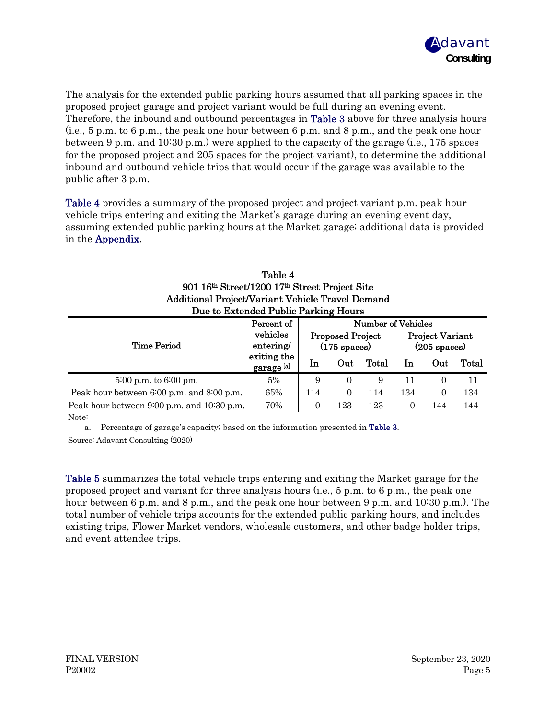

The analysis for the extended public parking hours assumed that all parking spaces in the proposed project garage and project variant would be full during an evening event. Therefore, the inbound and outbound percentages in **Table 3** above for three analysis hours (i.e., 5 p.m. to 6 p.m., the peak one hour between 6 p.m. and 8 p.m., and the peak one hour between 9 p.m. and 10:30 p.m.) were applied to the capacity of the garage (i.e., 175 spaces for the proposed project and 205 spaces for the project variant), to determine the additional inbound and outbound vehicle trips that would occur if the garage was available to the public after 3 p.m.

Table 4 provides a summary of the proposed project and project variant p.m. peak hour vehicle trips entering and exiting the Market's garage during an evening event day, assuming extended public parking hours at the Market garage; additional data is provided in the Appendix.

| Table 4                                          |
|--------------------------------------------------|
| 901 16th Street/1200 17th Street Project Site    |
| Additional Project/Variant Vehicle Travel Demand |
| Due to Extended Public Parking Hours             |

|                                            | Percent of                                         | <b>Number of Vehicles</b>                         |          |       |                                                  |     |       |  |
|--------------------------------------------|----------------------------------------------------|---------------------------------------------------|----------|-------|--------------------------------------------------|-----|-------|--|
| <b>Time Period</b>                         | vehicles<br>entering/<br>exiting the<br>garage [a] | <b>Proposed Project</b><br>$(175 \text{ spaces})$ |          |       | <b>Project Variant</b><br>$(205 \text{ spaces})$ |     |       |  |
|                                            |                                                    | 1n                                                | Out      | Total | In                                               | Out | Total |  |
| $5:00$ p.m. to $6:00$ pm.                  | 5%                                                 | 9                                                 | 0        | 9     |                                                  |     | 11    |  |
| Peak hour between 6:00 p.m. and 8:00 p.m.  | 65%                                                | 114                                               | $\left($ | 114   | 134                                              |     | 134   |  |
| Peak hour between 9:00 p.m. and 10:30 p.m. | 70%                                                | $\theta$                                          | 123      | 123   | $\left( \right)$                                 | 144 | 144   |  |

Note:

a. Percentage of garage's capacity; based on the information presented in Table 3. Source: Adavant Consulting (2020)

Table 5 summarizes the total vehicle trips entering and exiting the Market garage for the proposed project and variant for three analysis hours (i.e., 5 p.m. to 6 p.m., the peak one hour between 6 p.m. and 8 p.m., and the peak one hour between 9 p.m. and 10:30 p.m.). The total number of vehicle trips accounts for the extended public parking hours, and includes existing trips, Flower Market vendors, wholesale customers, and other badge holder trips, and event attendee trips.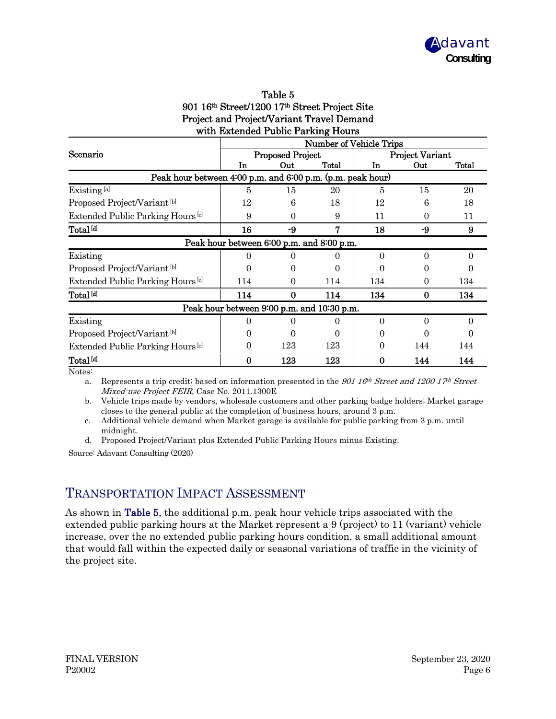

| Table 5                                          |
|--------------------------------------------------|
| 901 16th Street/1200 17th Street Project Site    |
| <b>Project and Project/Variant Travel Demand</b> |
| with Extended Public Parking Hours               |

|                                                            | <b>Number of Vehicle Trips</b>             |     |       |     |                        |       |  |
|------------------------------------------------------------|--------------------------------------------|-----|-------|-----|------------------------|-------|--|
| Scenario                                                   | <b>Proposed Project</b>                    |     |       |     | <b>Project Variant</b> |       |  |
|                                                            | Тn                                         | Out | Total | In  | Out                    | Total |  |
| Peak hour between 4:00 p.m. and 6:00 p.m. (p.m. peak hour) |                                            |     |       |     |                        |       |  |
| Existing <sup>[a]</sup>                                    | 5                                          | 15  | 20    | 5   | 15                     | 20    |  |
| Proposed Project/Variant [b]                               | 12                                         | 6   | 18    | 12  | 6                      | 18    |  |
| Extended Public Parking Hours <sup>[c]</sup>               | 9                                          | 0   | 9     | 11  | 0                      | 11    |  |
| Total <sup>[d]</sup>                                       | 16                                         | -9  | 7     | 18  | -9                     | 9     |  |
|                                                            | Peak hour between 6:00 p.m. and 8:00 p.m.  |     |       |     |                        |       |  |
| Existing                                                   |                                            |     |       | 0   | 0                      | 0     |  |
| Proposed Project/Variant [b]                               |                                            |     |       |     |                        |       |  |
| Extended Public Parking Hours <sup>[c]</sup>               | 114                                        | 0   | 114   | 134 | 0                      | 134   |  |
| Total <sup>[d]</sup>                                       | 114                                        | 0   | 114   | 134 | $\bf{0}$               | 134   |  |
|                                                            | Peak hour between 9:00 p.m. and 10:30 p.m. |     |       |     |                        |       |  |
| Existing                                                   |                                            |     |       | 0   | 0                      | 0     |  |
| Proposed Project/Variant <sup>[b]</sup>                    |                                            |     |       |     |                        |       |  |
| Extended Public Parking Hours <sup>lel</sup>               | 0                                          | 123 | 123   | 0   | 144                    | 144   |  |
| Total <sup>Idl</sup>                                       | 0                                          | 123 | 123   |     | 144                    | 144   |  |

Notes:

a. Represents a trip credit; based on information presented in the 901 16<sup>th</sup> Street and 1200 17<sup>th</sup> Street Mixed-use Project FEIR, Case No. 2011.1300E

b. Vehicle trips made by vendors, wholesale customers and other parking badge holders; Market garage closes to the general public at the completion of business hours, around 3 p.m.

c. Additional vehicle demand when Market garage is available for public parking from 3 p.m. until midnight.

d. Proposed Project/Variant plus Extended Public Parking Hours minus Existing.

Source: Adavant Consulting (2020)

#### TRANSPORTATION IMPACT ASSESSMENT

As shown in Table 5, the additional p.m. peak hour vehicle trips associated with the extended public parking hours at the Market represent a 9 (project) to 11 (variant) vehicle increase, over the no extended public parking hours condition, a small additional amount that would fall within the expected daily or seasonal variations of traffic in the vicinity of the project site.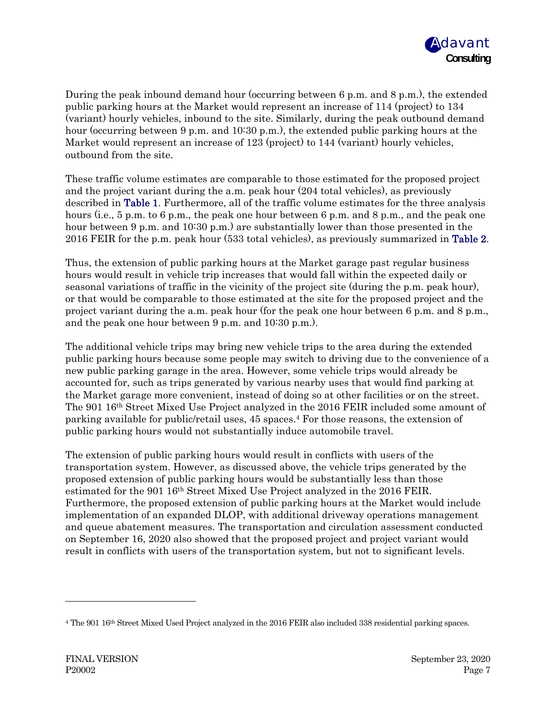

During the peak inbound demand hour (occurring between 6 p.m. and 8 p.m.), the extended public parking hours at the Market would represent an increase of 114 (project) to 134 (variant) hourly vehicles, inbound to the site. Similarly, during the peak outbound demand hour (occurring between 9 p.m. and 10:30 p.m.), the extended public parking hours at the Market would represent an increase of 123 (project) to 144 (variant) hourly vehicles, outbound from the site.

These traffic volume estimates are comparable to those estimated for the proposed project and the project variant during the a.m. peak hour (204 total vehicles), as previously described in Table 1. Furthermore, all of the traffic volume estimates for the three analysis hours (i.e., 5 p.m. to 6 p.m., the peak one hour between 6 p.m. and 8 p.m., and the peak one hour between 9 p.m. and 10:30 p.m.) are substantially lower than those presented in the 2016 FEIR for the p.m. peak hour (533 total vehicles), as previously summarized in Table 2.

Thus, the extension of public parking hours at the Market garage past regular business hours would result in vehicle trip increases that would fall within the expected daily or seasonal variations of traffic in the vicinity of the project site (during the p.m. peak hour), or that would be comparable to those estimated at the site for the proposed project and the project variant during the a.m. peak hour (for the peak one hour between 6 p.m. and 8 p.m., and the peak one hour between 9 p.m. and 10:30 p.m.).

The additional vehicle trips may bring new vehicle trips to the area during the extended public parking hours because some people may switch to driving due to the convenience of a new public parking garage in the area. However, some vehicle trips would already be accounted for, such as trips generated by various nearby uses that would find parking at the Market garage more convenient, instead of doing so at other facilities or on the street. The 901 16<sup>th</sup> Street Mixed Use Project analyzed in the 2016 FEIR included some amount of parking available for public/retail uses, 45 spaces.4 For those reasons, the extension of public parking hours would not substantially induce automobile travel.

The extension of public parking hours would result in conflicts with users of the transportation system. However, as discussed above, the vehicle trips generated by the proposed extension of public parking hours would be substantially less than those estimated for the 901 16th Street Mixed Use Project analyzed in the 2016 FEIR. Furthermore, the proposed extension of public parking hours at the Market would include implementation of an expanded DLOP, with additional driveway operations management and queue abatement measures. The transportation and circulation assessment conducted on September 16, 2020 also showed that the proposed project and project variant would result in conflicts with users of the transportation system, but not to significant levels.

<sup>&</sup>lt;sup>4</sup> The 901 16<sup>th</sup> Street Mixed Used Project analyzed in the 2016 FEIR also included 338 residential parking spaces.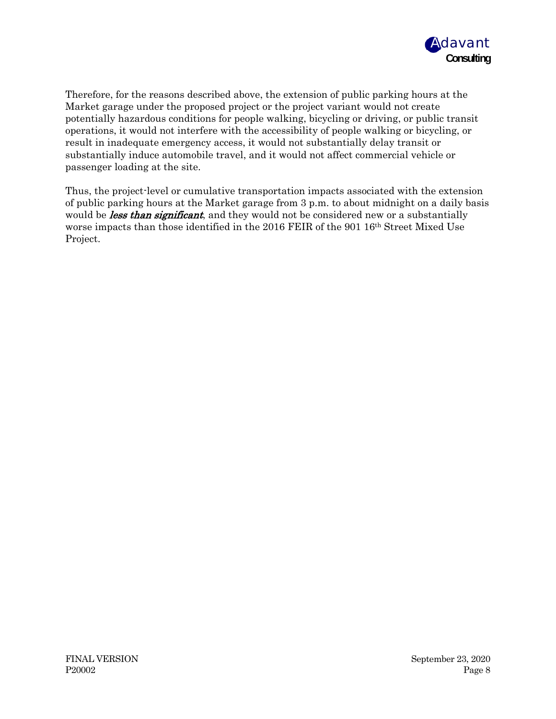

Therefore, for the reasons described above, the extension of public parking hours at the Market garage under the proposed project or the project variant would not create potentially hazardous conditions for people walking, bicycling or driving, or public transit operations, it would not interfere with the accessibility of people walking or bicycling, or result in inadequate emergency access, it would not substantially delay transit or substantially induce automobile travel, and it would not affect commercial vehicle or passenger loading at the site.

Thus, the project-level or cumulative transportation impacts associated with the extension of public parking hours at the Market garage from 3 p.m. to about midnight on a daily basis would be *less than significant*, and they would not be considered new or a substantially worse impacts than those identified in the 2016 FEIR of the 901 16th Street Mixed Use Project.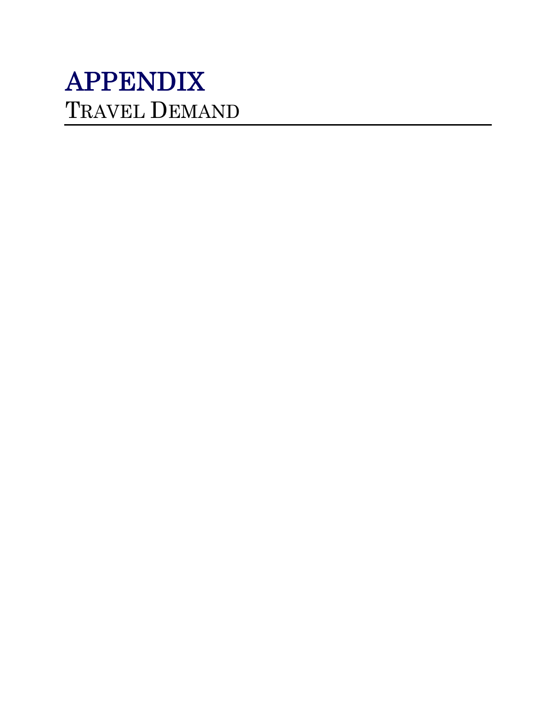# APPENDIX TRAVEL DEMAND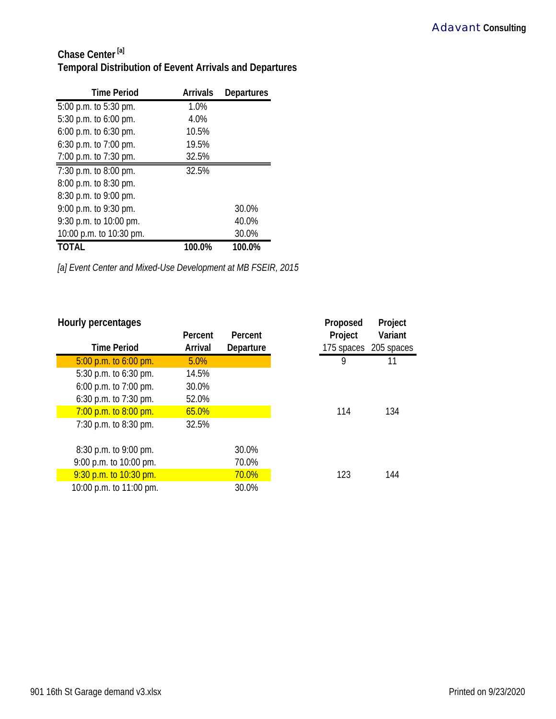## **Chase Center [a] Temporal Distribution of Eevent Arrivals and Departures**

| <b>Time Period</b>      | <b>Arrivals</b> | <b>Departures</b> |
|-------------------------|-----------------|-------------------|
| 5:00 p.m. to 5:30 pm.   | 1.0%            |                   |
| 5:30 p.m. to 6:00 pm.   | 4.0%            |                   |
| 6:00 p.m. to 6:30 pm.   | 10.5%           |                   |
| 6:30 p.m. to 7:00 pm.   | 19.5%           |                   |
| 7:00 p.m. to 7:30 pm.   | 32.5%           |                   |
| 7:30 p.m. to 8:00 pm.   | 32.5%           |                   |
| 8:00 p.m. to 8:30 pm.   |                 |                   |
| 8:30 p.m. to 9:00 pm.   |                 |                   |
| 9:00 p.m. to 9:30 pm.   |                 | 30.0%             |
| 9:30 p.m. to 10:00 pm.  |                 | 40.0%             |
| 10:00 p.m. to 10:30 pm. |                 | 30.0%             |
| TOTAL                   | 100.0%          | 100.0%            |

*[a] Event Center and Mixed-Use Development at MB FSEIR, 2015*

### **Hourly percentages Proposed** Project **Percent Percent Project Variant Time Period Arrival Departure 175 spaces 205 spaces** 5:00 p.m. to 6:00 pm. 5.0% 9 11 5:30 p.m. to 6:30 pm. 14.5% 6:00 p.m. to 7:00 pm. 30.0% 6:30 p.m. to 7:30 pm. 52.0% 7:00 p.m. to 8:00 pm. 65.0% 114 134 7:30 p.m. to 8:30 pm. 32.5% 8:30 p.m. to 9:00 pm. 30.0% 9:00 p.m. to 10:00 pm. 70.0% 9:30 p.m. to 10:30 pm. 144 10:00 p.m. to 11:00 pm. 30.0%